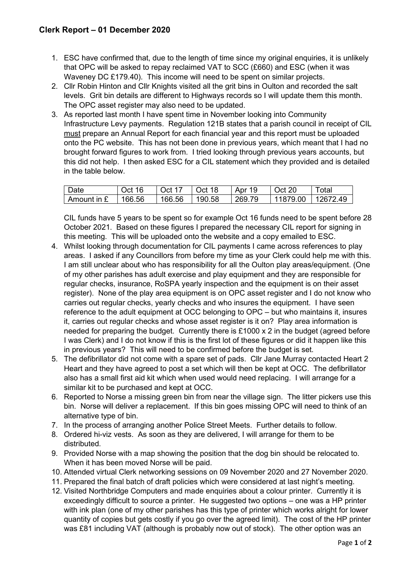## **Clerk Report – 01 December 2020**

- 1. ESC have confirmed that, due to the length of time since my original enquiries, it is unlikely that OPC will be asked to repay reclaimed VAT to SCC (£660) and ESC (when it was Waveney DC £179.40). This income will need to be spent on similar projects.
- 2. Cllr Robin Hinton and Cllr Knights visited all the grit bins in Oulton and recorded the salt levels. Grit bin details are different to Highways records so I will update them this month. The OPC asset register may also need to be updated.
- 3. As reported last month I have spent time in November looking into Community Infrastructure Levy payments. Regulation 121B states that a parish council in receipt of CIL must prepare an Annual Report for each financial year and this report must be uploaded onto the PC website. This has not been done in previous years, which meant that I had no brought forward figures to work from. I tried looking through previous years accounts, but this did not help. I then asked ESC for a CIL statement which they provided and is detailed in the table below.

| Date        | 16<br>Oct | Oct    | Oct 18 | 19<br>Apr | Oct 20   | $\tau$ otal |
|-------------|-----------|--------|--------|-----------|----------|-------------|
| Amount in £ | 166.56    | 166.56 | 190.58 | 269.79    | 11879.00 | 12672.49    |

CIL funds have 5 years to be spent so for example Oct 16 funds need to be spent before 28 October 2021. Based on these figures I prepared the necessary CIL report for signing in this meeting. This will be uploaded onto the website and a copy emailed to ESC.

- 4. Whilst looking through documentation for CIL payments I came across references to play areas. I asked if any Councillors from before my time as your Clerk could help me with this. I am still unclear about who has responsibility for all the Oulton play areas/equipment. (One of my other parishes has adult exercise and play equipment and they are responsible for regular checks, insurance, RoSPA yearly inspection and the equipment is on their asset register). None of the play area equipment is on OPC asset register and I do not know who carries out regular checks, yearly checks and who insures the equipment. I have seen reference to the adult equipment at OCC belonging to OPC – but who maintains it, insures it, carries out regular checks and whose asset register is it on? Play area information is needed for preparing the budget. Currently there is £1000 x 2 in the budget (agreed before I was Clerk) and I do not know if this is the first lot of these figures or did it happen like this in previous years? This will need to be confirmed before the budget is set.
- 5. The defibrillator did not come with a spare set of pads. Cllr Jane Murray contacted Heart 2 Heart and they have agreed to post a set which will then be kept at OCC. The defibrillator also has a small first aid kit which when used would need replacing. I will arrange for a similar kit to be purchased and kept at OCC.
- 6. Reported to Norse a missing green bin from near the village sign. The litter pickers use this bin. Norse will deliver a replacement. If this bin goes missing OPC will need to think of an alternative type of bin.
- 7. In the process of arranging another Police Street Meets. Further details to follow.
- 8. Ordered hi-viz vests. As soon as they are delivered, I will arrange for them to be distributed.
- 9. Provided Norse with a map showing the position that the dog bin should be relocated to. When it has been moved Norse will be paid.
- 10. Attended virtual Clerk networking sessions on 09 November 2020 and 27 November 2020.
- 11. Prepared the final batch of draft policies which were considered at last night's meeting.
- 12. Visited Northbridge Computers and made enquiries about a colour printer. Currently it is exceedingly difficult to source a printer. He suggested two options – one was a HP printer with ink plan (one of my other parishes has this type of printer which works alright for lower quantity of copies but gets costly if you go over the agreed limit). The cost of the HP printer was £81 including VAT (although is probably now out of stock). The other option was an